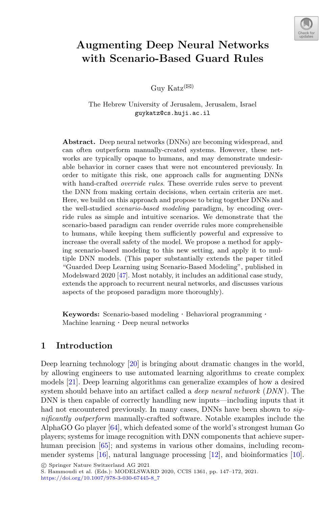

# **Augmenting Deep Neural Networks with Scenario-Based Guard Rules**

Guy Katz<sup>( $\boxtimes$ )</sup>

The Hebrew University of Jerusalem, Jerusalem, Israel guykatz@cs.huji.ac.il

**Abstract.** Deep neural networks (DNNs) are becoming widespread, and can often outperform manually-created systems. However, these networks are typically opaque to humans, and may demonstrate undesirable behavior in corner cases that were not encountered previously. In order to mitigate this risk, one approach calls for augmenting DNNs with hand-crafted *override rules*. These override rules serve to prevent the DNN from making certain decisions, when certain criteria are met. Here, we build on this approach and propose to bring together DNNs and the well-studied *scenario-based modeling* paradigm, by encoding override rules as simple and intuitive scenarios. We demonstrate that the scenario-based paradigm can render override rules more comprehensible to humans, while keeping them sufficiently powerful and expressive to increase the overall safety of the model. We propose a method for applying scenario-based modeling to this new setting, and apply it to multiple DNN models. (This paper substantially extends the paper titled "Guarded Deep Learning using Scenario-Based Modeling", published in Modelsward 2020 [47]. Most notably, it includes an additional case study, extends the approach to recurrent neural networks, and discusses various aspects of the proposed paradigm more thoroughly).

**Keywords:** Scenario-based modeling · Behavioral programming · Machine learning · Deep neural networks

# **1 Introduction**

Deep learning technology [20] is bringing about dramatic changes in the world, by allowing engineers to use automated learning algorithms to create complex models [21]. Deep learning algorithms can generalize examples of how a desired system should behave into an artifact called a *deep neural network* (*DNN* ). The DNN is then capable of correctly handling new inputs—including inputs that it had not encountered previously. In many cases, DNNs have been shown to *significantly outperform* manually-crafted software. Notable examples include the AlphaGO Go player [64], which defeated some of the world's strongest human Go players; systems for image recognition with DNN components that achieve superhuman precision  $[65]$ ; and systems in various other domains, including recommender systems [16], natural language processing [12], and bioinformatics [10].

-c Springer Nature Switzerland AG 2021

S. Hammoudi et al. (Eds.): MODELSWARD 2020, CCIS 1361, pp. 147–172, 2021. [https://doi.org/10.1007/978-3-030-67445-8](https://doi.org/10.1007/978-3-030-67445-8_7)\_7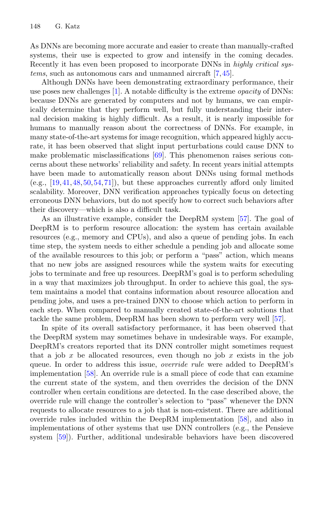As DNNs are becoming more accurate and easier to create than manually-crafted systems, their use is expected to grow and intensify in the coming decades. Recently it has even been proposed to incorporate DNNs in *highly critical systems*, such as autonomous cars and unmanned aircraft [7,45].

Although DNNs have been demonstrating extraordinary performance, their use poses new challenges [1]. A notable difficulty is the extreme *opacity* of DNNs: because DNNs are generated by computers and not by humans, we can empirically determine that they perform well, but fully understanding their internal decision making is highly difficult. As a result, it is nearly impossible for humans to manually reason about the correctness of DNNs. For example, in many state-of-the-art systems for image recognition, which appeared highly accurate, it has been observed that slight input perturbations could cause DNN to make problematic misclassifications [69]. This phenomenon raises serious concerns about these networks' reliability and safety. In recent years initial attempts have been made to automatically reason about DNNs using formal methods (e.g.,  $[19, 41, 48, 50, 54, 71]$ ), but these approaches currently afford only limited scalability. Moreover, DNN verification approaches typically focus on detecting erroneous DNN behaviors, but do not specify how to correct such behaviors after their discovery—which is also a difficult task.

As an illustrative example, consider the DeepRM system [57]. The goal of DeepRM is to perform resource allocation: the system has certain available resources (e.g., memory and CPUs), and also a queue of pending jobs. In each time step, the system needs to either schedule a pending job and allocate some of the available resources to this job; or perform a "pass" action, which means that no new jobs are assigned resources while the system waits for executing jobs to terminate and free up resources. DeepRM's goal is to perform scheduling in a way that maximizes job throughput. In order to achieve this goal, the system maintains a model that contains information about resource allocation and pending jobs, and uses a pre-trained DNN to choose which action to perform in each step. When compared to manually created state-of-the-art solutions that tackle the same problem, DeepRM has been shown to perform very well [57].

In spite of its overall satisfactory performance, it has been observed that the DeepRM system may sometimes behave in undesirable ways. For example, DeepRM's creators reported that its DNN controller might sometimes request that a job x be allocated resources, even though no job x exists in the job queue. In order to address this issue, *override rule* were added to DeepRM's implementation [58]. An override rule is a small piece of code that can examine the current state of the system, and then overrides the decision of the DNN controller when certain conditions are detected. In the case described above, the override rule will change the controller's selection to "pass" whenever the DNN requests to allocate resources to a job that is non-existent. There are additional override rules included within the DeepRM implementation [58], and also in implementations of other systems that use DNN controllers (e.g., the Pensieve system [59]). Further, additional undesirable behaviors have been discovered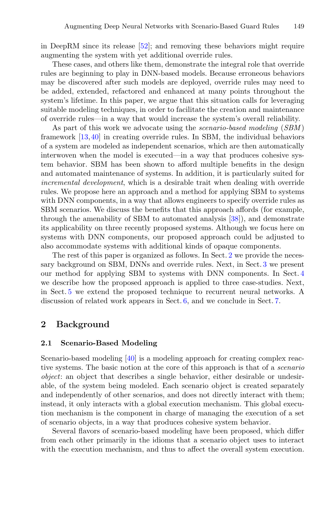in DeepRM since its release [52]; and removing these behaviors might require augmenting the system with yet additional override rules.

These cases, and others like them, demonstrate the integral role that override rules are beginning to play in DNN-based models. Because erroneous behaviors may be discovered after such models are deployed, override rules may need to be added, extended, refactored and enhanced at many points throughout the system's lifetime. In this paper, we argue that this situation calls for leveraging suitable modeling techniques, in order to facilitate the creation and maintenance of override rules—in a way that would increase the system's overall reliability.

As part of this work we advocate using the *scenario-based modeling* (*SBM* ) framework [13,40] in creating override rules. In SBM, the individual behaviors of a system are modeled as independent scenarios, which are then automatically interwoven when the model is executed—in a way that produces cohesive system behavior. SBM has been shown to afford multiple benefits in the design and automated maintenance of systems. In addition, it is particularly suited for *incremental development*, which is a desirable trait when dealing with override rules. We propose here an approach and a method for applying SBM to systems with DNN components, in a way that allows engineers to specify override rules as SBM scenarios. We discuss the benefits that this approach affords (for example, through the amenability of SBM to automated analysis [38]), and demonstrate its applicability on three recently proposed systems. Although we focus here on systems with DNN components, our proposed approach could be adjusted to also accommodate systems with additional kinds of opaque components.

The rest of this paper is organized as follows. In Sect. 2 we provide the necessary background on SBM, DNNs and override rules. Next, in Sect. 3 we present our method for applying SBM to systems with DNN components. In Sect. 4 we describe how the proposed approach is applied to three case-studies. Next, in Sect. 5 we extend the proposed technique to recurrent neural networks. A discussion of related work appears in Sect. 6, and we conclude in Sect. 7.

# **2 Background**

#### **2.1 Scenario-Based Modeling**

Scenario-based modeling [40] is a modeling approach for creating complex reactive systems. The basic notion at the core of this approach is that of a *scenario object*: an object that describes a single behavior, either desirable or undesirable, of the system being modeled. Each scenario object is created separately and independently of other scenarios, and does not directly interact with them; instead, it only interacts with a global execution mechanism. This global execution mechanism is the component in charge of managing the execution of a set of scenario objects, in a way that produces cohesive system behavior.

Several flavors of scenario-based modeling have been proposed, which differ from each other primarily in the idioms that a scenario object uses to interact with the execution mechanism, and thus to affect the overall system execution.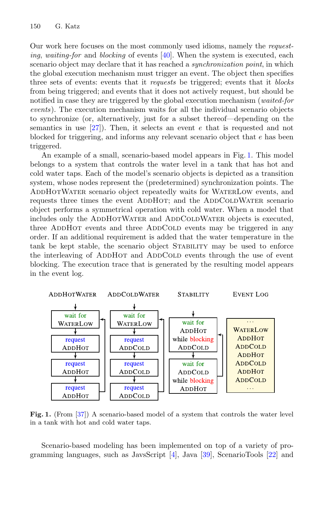Our work here focuses on the most commonly used idioms, namely the *requesting*, *waiting-for* and *blocking* of events [40]. When the system is executed, each scenario object may declare that it has reached a *synchronization point*, in which the global execution mechanism must trigger an event. The object then specifies three sets of events: events that it *requests* be triggered; events that it *blocks* from being triggered; and events that it does not actively request, but should be notified in case they are triggered by the global execution mechanism (*waited-for events*). The execution mechanism waits for all the individual scenario objects to synchronize (or, alternatively, just for a subset thereof—depending on the semantics in use  $[27]$ . Then, it selects an event e that is requested and not blocked for triggering, and informs any relevant scenario object that e has been triggered.

An example of a small, scenario-based model appears in Fig. 1. This model belongs to a system that controls the water level in a tank that has hot and cold water taps. Each of the model's scenario objects is depicted as a transition system, whose nodes represent the (predetermined) synchronization points. The ADDHOTWATER scenario object repeatedly waits for WATERLOW events, and requests three times the event ADDHOT; and the ADDCOLDWATER scenario object performs a symmetrical operation with cold water. When a model that includes only the ADDHOTWATER and ADDCOLDWATER objects is executed, three ADDHOT events and three ADDCOLD events may be triggered in any order. If an additional requirement is added that the water temperature in the tank be kept stable, the scenario object Stability may be used to enforce the interleaving of ADDHOT and ADDCOLD events through the use of event blocking. The execution trace that is generated by the resulting model appears in the event log.



Fig. 1. (From [37]) A scenario-based model of a system that controls the water level in a tank with hot and cold water taps.

Scenario-based modeling has been implemented on top of a variety of programming languages, such as JavsScript [4], Java [39], ScenarioTools [22] and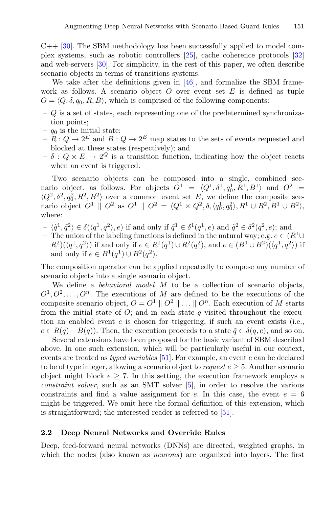C++ [30]. The SBM methodology has been successfully applied to model complex systems, such as robotic controllers [25], cache coherence protocols [32] and web-servers [30]. For simplicity, in the rest of this paper, we often describe scenario objects in terms of transitions systems.

We take after the definitions given in  $[46]$ , and formalize the SBM framework as follows. A scenario object O over event set E is defined as tuple  $O = \langle Q, \delta, q_0, R, B \rangle$ , which is comprised of the following components:

- $Q$  is a set of states, each representing one of the predetermined synchronization points;
- $q_0$  is the initial state;
- $R : Q \to 2^E$  and  $B : Q \to 2^E$  map states to the sets of events requested and blocked at these states (respectively); and
- $-\delta: Q \times E \to 2^Q$  is a transition function, indicating how the object reacts when an event is triggered.

Two scenario objects can be composed into a single, combined scenario object, as follows. For objects  $O^1 = \langle Q^1, \delta^1, q_0^1, R^1, B^1 \rangle$  and  $O^2 =$  $\langle Q^2, \delta^2, q_0^2, R^2, B^2 \rangle$  over a common event set E, we define the composite scenario object  $O^1 \parallel O^2$  as  $O^1 \parallel O^2 = \langle Q^1 \times Q^2, \delta, \langle q_0^1, q_0^2 \rangle, R^1 \cup R^2, B^1 \cup B^2 \rangle$ , where:

- $-\langle \tilde{q}^1, \tilde{q}^2 \rangle \in \delta(\langle q^1, q^2 \rangle, e)$  if and only if  $\tilde{q}^1 \in \delta^1(q^1, e)$  and  $\tilde{q}^2 \in \delta^2(q^2, e)$ ; and
- The union of the labeling functions is defined in the natural way; e.g.  $e \in (R^1 \cup$  $R^2$ )( $\langle q^1, q^2 \rangle$ ) if and only if  $e \in R^1(q^1) \cup R^2(q^2)$ , and  $e \in (B^1 \cup B^2)$ ( $\langle q^1, q^2 \rangle$ ) if and only if  $e \in B^1(q^1) \cup B^2(q^2)$ .

The composition operator can be applied repeatedly to compose any number of scenario objects into a single scenario object.

We define a *behavioral model* M to be a collection of scenario objects,  $O^1, O^2, \ldots, O^n$ . The executions of M are defined to be the executions of the composite scenario object,  $O = O^1 \parallel O^2 \parallel \ldots \parallel O^n$ . Each execution of M starts from the initial state of  $\hat{O}$ ; and in each state q visited throughout the execution an enabled event e is chosen for triggering, if such an event exists (i.e.,  $e \in R(q) - B(q)$ . Then, the execution proceeds to a state  $\tilde{q} \in \delta(q, e)$ , and so on.

Several extensions have been proposed for the basic variant of SBM described above. In one such extension, which will be particularly useful in our context, events are treated as *typed variables* [51]. For example, an event e can be declared to be of type integer, allowing a scenario object to *request*  $e \geq 5$ . Another scenario object might block  $e \geq 7$ . In this setting, the execution framework employs a *constraint solver*, such as an SMT solver [5], in order to resolve the various constraints and find a value assignment for e. In this case, the event  $e = 6$ might be triggered. We omit here the formal definition of this extension, which is straightforward; the interested reader is referred to [51].

#### **2.2 Deep Neural Networks and Override Rules**

Deep, feed-forward neural networks (DNNs) are directed, weighted graphs, in which the nodes (also known as *neurons*) are organized into layers. The first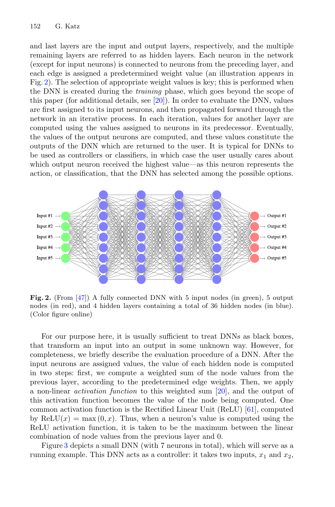and last layers are the input and output layers, respectively, and the multiple remaining layers are referred to as hidden layers. Each neuron in the network (except for input neurons) is connected to neurons from the preceding layer, and each edge is assigned a predetermined weight value (an illustration appears in Fig. 2). The selection of appropriate weight values is key; this is performed when the DNN is created during the *training* phase, which goes beyond the scope of this paper (for additional details, see [20]). In order to evaluate the DNN, values are first assigned to its input neurons, and then propagated forward through the network in an iterative process. In each iteration, values for another layer are computed using the values assigned to neurons in its predecessor. Eventually, the values of the output neurons are computed, and these values constitute the outputs of the DNN which are returned to the user. It is typical for DNNs to be used as controllers or classifiers, in which case the user usually cares about which output neuron received the highest value—as this neuron represents the action, or classification, that the DNN has selected among the possible options.



**Fig. 2.** (From [47]) A fully connected DNN with 5 input nodes (in green), 5 output nodes (in red), and 4 hidden layers containing a total of 36 hidden nodes (in blue). (Color figure online)

For our purpose here, it is usually sufficient to treat DNNs as black boxes, that transform an input into an output in some unknown way. However, for completeness, we briefly describe the evaluation procedure of a DNN. After the input neurons are assigned values, the value of each hidden node is computed in two steps: first, we compute a weighted sum of the node values from the previous layer, according to the predetermined edge weights. Then, we apply a non-linear *activation function* to this weighted sum [20], and the output of this activation function becomes the value of the node being computed. One common activation function is the Rectified Linear Unit (ReLU) [61], computed by  $ReLU(x) = max(0, x)$ . Thus, when a neuron's value is computed using the ReLU activation function, it is taken to be the maximum between the linear combination of node values from the previous layer and 0.

Figure 3 depicts a small DNN (with 7 neurons in total), which will serve as a running example. This DNN acts as a controller: it takes two inputs,  $x_1$  and  $x_2$ ,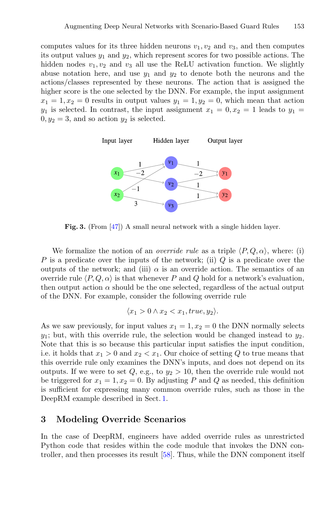computes values for its three hidden neurons  $v_1, v_2$  and  $v_3$ , and then computes its output values  $y_1$  and  $y_2$ , which represent scores for two possible actions. The hidden nodes  $v_1, v_2$  and  $v_3$  all use the ReLU activation function. We slightly abuse notation here, and use  $y_1$  and  $y_2$  to denote both the neurons and the actions/classes represented by these neurons. The action that is assigned the higher score is the one selected by the DNN. For example, the input assignment  $x_1 = 1, x_2 = 0$  results in output values  $y_1 = 1, y_2 = 0$ , which mean that action  $y_1$  is selected. In contrast, the input assignment  $x_1 = 0, x_2 = 1$  leads to  $y_1 =$  $0, y_2 = 3$ , and so action  $y_2$  is selected.



Fig. 3. (From [47]) A small neural network with a single hidden layer.

We formalize the notion of an *override rule* as a triple  $\langle P, Q, \alpha \rangle$ , where: (i) P is a predicate over the inputs of the network; (ii)  $Q$  is a predicate over the outputs of the network; and (iii)  $\alpha$  is an override action. The semantics of an override rule  $\langle P, Q, \alpha \rangle$  is that whenever P and Q hold for a network's evaluation, then output action  $\alpha$  should be the one selected, regardless of the actual output of the DNN. For example, consider the following override rule

$$
\langle x_1>0\wedge x_2
$$

As we saw previously, for input values  $x_1 = 1, x_2 = 0$  the DNN normally selects  $y_1$ ; but, with this override rule, the selection would be changed instead to  $y_2$ . Note that this is so because this particular input satisfies the input condition, i.e. it holds that  $x_1 > 0$  and  $x_2 < x_1$ . Our choice of setting Q to true means that this override rule only examines the DNN's inputs, and does not depend on its outputs. If we were to set  $Q$ , e.g., to  $y_2 > 10$ , then the override rule would not be triggered for  $x_1 = 1, x_2 = 0$ . By adjusting P and Q as needed, this definition is sufficient for expressing many common override rules, such as those in the DeepRM example described in Sect. 1.

# **3 Modeling Override Scenarios**

In the case of DeepRM, engineers have added override rules as unrestricted Python code that resides within the code module that invokes the DNN controller, and then processes its result [58]. Thus, while the DNN component itself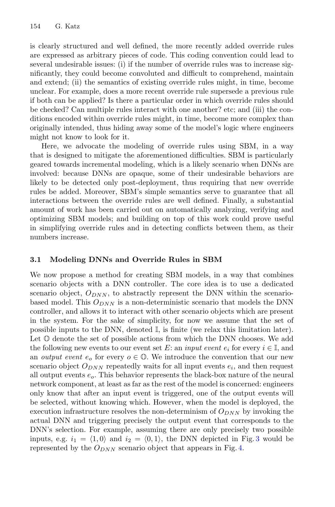is clearly structured and well defined, the more recently added override rules are expressed as arbitrary pieces of code. This coding convention could lead to several undesirable issues: (i) if the number of override rules was to increase significantly, they could become convoluted and difficult to comprehend, maintain and extend; (ii) the semantics of existing override rules might, in time, become unclear. For example, does a more recent override rule supersede a previous rule if both can be applied? Is there a particular order in which override rules should be checked? Can multiple rules interact with one another? etc; and (iii) the conditions encoded within override rules might, in time, become more complex than originally intended, thus hiding away some of the model's logic where engineers might not know to look for it.

Here, we advocate the modeling of override rules using SBM, in a way that is designed to mitigate the aforementioned difficulties. SBM is particularly geared towards incremental modeling, which is a likely scenario when DNNs are involved: because DNNs are opaque, some of their undesirable behaviors are likely to be detected only post-deployment, thus requiring that new override rules be added. Moreover, SBM's simple semantics serve to guarantee that all interactions between the override rules are well defined. Finally, a substantial amount of work has been carried out on automatically analyzing, verifying and optimizing SBM models; and building on top of this work could prove useful in simplifying override rules and in detecting conflicts between them, as their numbers increase.

# **3.1 Modeling DNNs and Override Rules in SBM**

We now propose a method for creating SBM models, in a way that combines scenario objects with a DNN controller. The core idea is to use a dedicated scenario object,  $O_{DNN}$ , to abstractly represent the DNN within the scenariobased model. This  $O_{DNN}$  is a non-deterministic scenario that models the DNN controller, and allows it to interact with other scenario objects which are present in the system. For the sake of simplicity, for now we assume that the set of possible inputs to the DNN, denoted I, is finite (we relax this limitation later). Let  $\mathbb O$  denote the set of possible actions from which the DNN chooses. We add the following new events to our event set E: an *input event*  $e_i$  for every  $i \in \mathbb{I}$ , and an *output event*  $e_o$  for every  $o \in \mathbb{O}$ . We introduce the convention that our new scenario object  $O_{DNN}$  repeatedly waits for all input events  $e_i$ , and then request all output events e*o*. This behavior represents the black-box nature of the neural network component, at least as far as the rest of the model is concerned: engineers only know that after an input event is triggered, one of the output events will be selected, without knowing which. However, when the model is deployed, the execution infrastructure resolves the non-determinism of O*DNN* by invoking the actual DNN and triggering precisely the output event that corresponds to the DNN's selection. For example, assuming there are only precisely two possible inputs, e.g.  $i_1 = \langle 1, 0 \rangle$  and  $i_2 = \langle 0, 1 \rangle$ , the DNN depicted in Fig. 3 would be represented by the O*DNN* scenario object that appears in Fig. 4.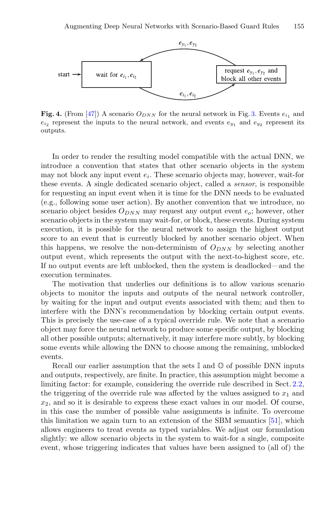

Fig. 4. (From [47]) A scenario  $O_{DNN}$  for the neural network in Fig. 3. Events  $e_{i_1}$  and  $e_{i_2}$  represent the inputs to the neural network, and events  $e_{y_1}$  and  $e_{y_2}$  represent its outputs.

In order to render the resulting model compatible with the actual DNN, we introduce a convention that states that other scenario objects in the system may not block any input event e*i*. These scenario objects may, however, wait-for these events. A single dedicated scenario object, called a *sensor*, is responsible for requesting an input event when it is time for the DNN needs to be evaluated (e.g., following some user action). By another convention that we introduce, no scenario object besides O*DNN* may request any output event e*o*; however, other scenario objects in the system may wait-for, or block, these events. During system execution, it is possible for the neural network to assign the highest output score to an event that is currently blocked by another scenario object. When this happens, we resolve the non-determinism of  $O_{DNN}$  by selecting another output event, which represents the output with the next-to-highest score, etc. If no output events are left unblocked, then the system is deadlocked—and the execution terminates.

The motivation that underlies our definitions is to allow various scenario objects to monitor the inputs and outputs of the neural network controller, by waiting for the input and output events associated with them; and then to interfere with the DNN's recommendation by blocking certain output events. This is precisely the use-case of a typical override rule. We note that a scenario object may force the neural network to produce some specific output, by blocking all other possible outputs; alternatively, it may interfere more subtly, by blocking some events while allowing the DNN to choose among the remaining, unblocked events.

Recall our earlier assumption that the sets  $\mathbb I$  and  $\mathbb O$  of possible DNN inputs and outputs, respectively, are finite. In practice, this assumption might become a limiting factor: for example, considering the override rule described in Sect. 2.2, the triggering of the override rule was affected by the values assigned to  $x_1$  and  $x_2$ , and so it is desirable to express these exact values in our model. Of course, in this case the number of possible value assignments is infinite. To overcome this limitation we again turn to an extension of the SBM semantics [51], which allows engineers to treat events as typed variables. We adjust our formulation slightly: we allow scenario objects in the system to wait-for a single, composite event, whose triggering indicates that values have been assigned to (all of) the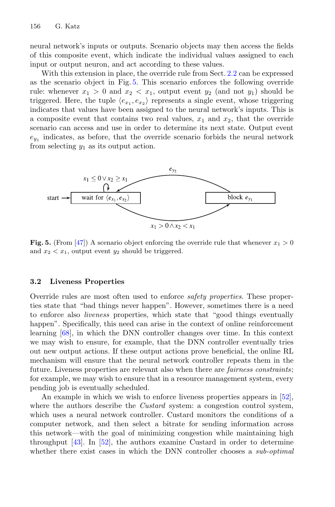neural network's inputs or outputs. Scenario objects may then access the fields of this composite event, which indicate the individual values assigned to each input or output neuron, and act according to these values.

With this extension in place, the override rule from Sect. 2.2 can be expressed as the scenario object in Fig. 5. This scenario enforces the following override rule: whenever  $x_1 > 0$  and  $x_2 < x_1$ , output event  $y_2$  (and not  $y_1$ ) should be triggered. Here, the tuple  $\langle e_{x_1}, e_{x_2} \rangle$  represents a single event, whose triggering indicates that values have been assigned to the neural network's inputs. This is a composite event that contains two real values,  $x_1$  and  $x_2$ , that the override scenario can access and use in order to determine its next state. Output event  $e_{y_1}$  indicates, as before, that the override scenario forbids the neural network from selecting  $y_1$  as its output action.



**Fig. 5.** (From [47]) A scenario object enforcing the override rule that whenever  $x_1 > 0$ and  $x_2 < x_1$ , output event  $y_2$  should be triggered.

#### **3.2 Liveness Properties**

Override rules are most often used to enforce *safety properties*. These properties state that "bad things never happen". However, sometimes there is a need to enforce also *liveness* properties, which state that "good things eventually happen". Specifically, this need can arise in the context of online reinforcement learning [68], in which the DNN controller changes over time. In this context we may wish to ensure, for example, that the DNN controller eventually tries out new output actions. If these output actions prove beneficial, the online RL mechanism will ensure that the neural network controller repeats them in the future. Liveness properties are relevant also when there are *fairness constraints*; for example, we may wish to ensure that in a resource management system, every pending job is eventually scheduled.

An example in which we wish to enforce liveness properties appears in [52], where the authors describe the *Custard* system: a congestion control system, which uses a neural network controller. Custard monitors the conditions of a computer network, and then select a bitrate for sending information across this network—with the goal of minimizing congestion while maintaining high throughput [43]. In [52], the authors examine Custard in order to determine whether there exist cases in which the DNN controller chooses a *sub-optimal*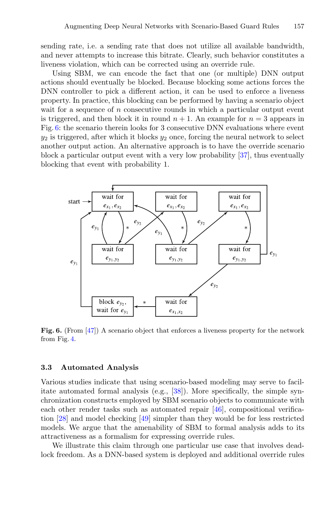sending rate, i.e. a sending rate that does not utilize all available bandwidth, and never attempts to increase this bitrate. Clearly, such behavior constitutes a liveness violation, which can be corrected using an override rule.

Using SBM, we can encode the fact that one (or multiple) DNN output actions should eventually be blocked. Because blocking some actions forces the DNN controller to pick a different action, it can be used to enforce a liveness property. In practice, this blocking can be performed by having a scenario object wait for a sequence of  $n$  consecutive rounds in which a particular output event is triggered, and then block it in round  $n + 1$ . An example for  $n = 3$  appears in Fig. 6: the scenario therein looks for 3 consecutive DNN evaluations where event  $y_2$  is triggered, after which it blocks  $y_2$  once, forcing the neural network to select another output action. An alternative approach is to have the override scenario block a particular output event with a very low probability [37], thus eventually blocking that event with probability 1.



**Fig. 6.** (From [47]) A scenario object that enforces a liveness property for the network from Fig. 4.

#### **3.3 Automated Analysis**

Various studies indicate that using scenario-based modeling may serve to facilitate automated formal analysis (e.g., [38]). More specifically, the simple synchronization constructs employed by SBM scenario objects to communicate with each other render tasks such as automated repair [46], compositional verification [28] and model checking [49] simpler than they would be for less restricted models. We argue that the amenability of SBM to formal analysis adds to its attractiveness as a formalism for expressing override rules.

We illustrate this claim through one particular use case that involves deadlock freedom. As a DNN-based system is deployed and additional override rules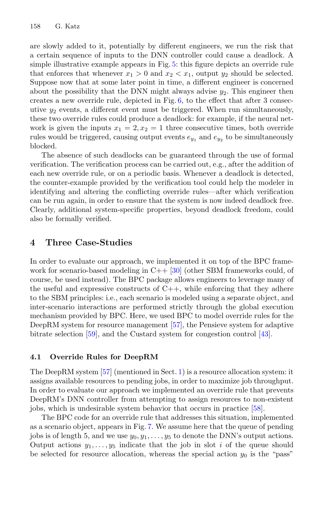are slowly added to it, potentially by different engineers, we run the risk that a certain sequence of inputs to the DNN controller could cause a deadlock. A simple illustrative example appears in Fig. 5: this figure depicts an override rule that enforces that whenever  $x_1 > 0$  and  $x_2 < x_1$ , output  $y_2$  should be selected. Suppose now that at some later point in time, a different engineer is concerned about the possibility that the DNN might always advise  $y_2$ . This engineer then creates a new override rule, depicted in Fig. 6, to the effect that after 3 consecutive  $y_2$  events, a different event must be triggered. When run simultaneously, these two override rules could produce a deadlock: for example, if the neural network is given the inputs  $x_1 = 2, x_2 = 1$  three consecutive times, both override rules would be triggered, causing output events  $e_{y_1}$  and  $e_{y_2}$  to be simultaneously blocked.

The absence of such deadlocks can be guaranteed through the use of formal verification. The verification process can be carried out, e.g., after the addition of each new override rule, or on a periodic basis. Whenever a deadlock is detected, the counter-example provided by the verification tool could help the modeler in identifying and altering the conflicting override rules—after which verification can be run again, in order to ensure that the system is now indeed deadlock free. Clearly, additional system-specific properties, beyond deadlock freedom, could also be formally verified.

# **4 Three Case-Studies**

In order to evaluate our approach, we implemented it on top of the BPC framework for scenario-based modeling in  $C++$  [30] (other SBM frameworks could, of course, be used instead). The BPC package allows engineers to leverage many of the useful and expressive constructs of  $C_{++}$ , while enforcing that they adhere to the SBM principles: i.e., each scenario is modeled using a separate object, and inter-scenario interactions are performed strictly through the global execution mechanism provided by BPC. Here, we used BPC to model override rules for the DeepRM system for resource management [57], the Pensieve system for adaptive bitrate selection [59], and the Custard system for congestion control [43].

# **4.1 Override Rules for DeepRM**

The DeepRM system [57] (mentioned in Sect. 1) is a resource allocation system: it assigns available resources to pending jobs, in order to maximize job throughput. In order to evaluate our approach we implemented an override rule that prevents DeepRM's DNN controller from attempting to assign resources to non-existent jobs, which is undesirable system behavior that occurs in practice [58].

The BPC code for an override rule that addresses this situation, implemented as a scenario object, appears in Fig. 7. We assume here that the queue of pending jobs is of length 5, and we use  $y_0, y_1, \ldots, y_5$  to denote the DNN's output actions. Output actions  $y_1, \ldots, y_5$  indicate that the job in slot i of the queue should be selected for resource allocation, whereas the special action  $y_0$  is the "pass"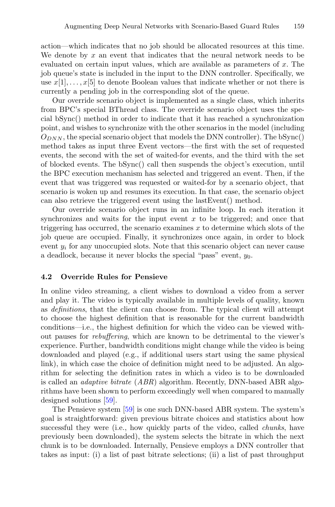action—which indicates that no job should be allocated resources at this time. We denote by  $x$  an event that indicates that the neural network needs to be evaluated on certain input values, which are available as parameters of  $x$ . The job queue's state is included in the input to the DNN controller. Specifically, we use  $x[1], \ldots, x[5]$  to denote Boolean values that indicate whether or not there is currently a pending job in the corresponding slot of the queue.

Our override scenario object is implemented as a single class, which inherits from BPC's special BThread class. The override scenario object uses the special bSync() method in order to indicate that it has reached a synchronization point, and wishes to synchronize with the other scenarios in the model (including  $O_{DNN}$ , the special scenario object that models the DNN controller). The bSync() method takes as input three Event vectors—the first with the set of requested events, the second with the set of waited-for events, and the third with the set of blocked events. The bSync() call then suspends the object's execution, until the BPC execution mechanism has selected and triggered an event. Then, if the event that was triggered was requested or waited-for by a scenario object, that scenario is woken up and resumes its execution. In that case, the scenario object can also retrieve the triggered event using the lastEvent() method.

Our override scenario object runs in an infinite loop. In each iteration it synchronizes and waits for the input event  $x$  to be triggered; and once that triggering has occurred, the scenario examines  $x$  to determine which slots of the job queue are occupied. Finally, it synchronizes once again, in order to block event  $y_i$  for any unoccupied slots. Note that this scenario object can never cause a deadlock, because it never blocks the special "pass" event,  $y_0$ .

#### **4.2 Override Rules for Pensieve**

In online video streaming, a client wishes to download a video from a server and play it. The video is typically available in multiple levels of quality, known as *definitions*, that the client can choose from. The typical client will attempt to choose the highest definition that is reasonable for the current bandwidth conditions—i.e., the highest definition for which the video can be viewed without pauses for *rebuffering*, which are known to be detrimental to the viewer's experience. Further, bandwidth conditions might change while the video is being downloaded and played (e.g., if additional users start using the same physical link), in which case the choice of definition might need to be adjusted. An algorithm for selecting the definition rates in which a video is to be downloaded is called an *adaptive bitrate* (*ABR*) algorithm. Recently, DNN-based ABR algorithms have been shown to perform exceedingly well when compared to manually designed solutions [59].

The Pensieve system [59] is one such DNN-based ABR system. The system's goal is straightforward: given previous bitrate choices and statistics about how successful they were (i.e., how quickly parts of the video, called *chunks*, have previously been downloaded), the system selects the bitrate in which the next chunk is to be downloaded. Internally, Pensieve employs a DNN controller that takes as input: (i) a list of past bitrate selections; (ii) a list of past throughput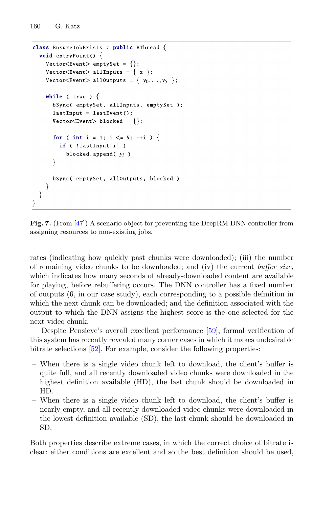```
class EnsureJobExists : public BThread {
  void entryPoint() \{Vector \textless Even} emptySet = \{\};
    Vector \textlessEvent> allInputs = { x };
    Vector \leq Event > allOutputs = \{y_0, \ldots, y_5\};
    while ( true ) \{bSync( emptySet, allInputs, emptySet);
      lastInput = lastEvent();
      Vector<Event> blocked = \{\};for ( int i = 1; i \leq 5; ++i ) {
        if (!lastInput[i])
           blocked.append(y_i)
      \mathcal{E}bSync( emptySet, allOutputs, blocked )
  \}}
```
**Fig. 7.** (From [47]) A scenario object for preventing the DeepRM DNN controller from assigning resources to non-existing jobs.

rates (indicating how quickly past chunks were downloaded); (iii) the number of remaining video chunks to be downloaded; and (iv) the current *buffer size*, which indicates how many seconds of already-downloaded content are available for playing, before rebuffering occurs. The DNN controller has a fixed number of outputs (6, in our case study), each corresponding to a possible definition in which the next chunk can be downloaded; and the definition associated with the output to which the DNN assigns the highest score is the one selected for the next video chunk.

Despite Pensieve's overall excellent performance [59], formal verification of this system has recently revealed many corner cases in which it makes undesirable bitrate selections [52]. For example, consider the following properties:

- When there is a single video chunk left to download, the client's buffer is quite full, and all recently downloaded video chunks were downloaded in the highest definition available (HD), the last chunk should be downloaded in HD.
- When there is a single video chunk left to download, the client's buffer is nearly empty, and all recently downloaded video chunks were downloaded in the lowest definition available (SD), the last chunk should be downloaded in SD.

Both properties describe extreme cases, in which the correct choice of bitrate is clear: either conditions are excellent and so the best definition should be used,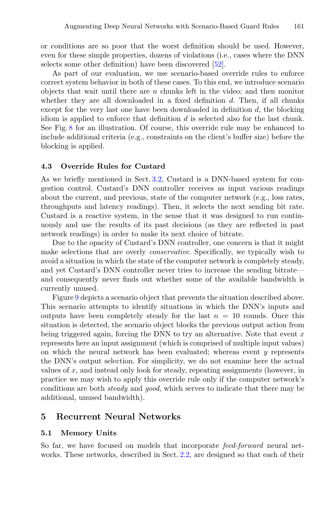or conditions are so poor that the worst definition should be used. However, even for these simple properties, dozens of violations (i.e., cases where the DNN selects some other definition) have been discovered [52].

As part of our evaluation, we use scenario-based override rules to enforce correct system behavior in both of these cases. To this end, we introduce scenario objects that wait until there are  $n$  chunks left in the video; and then monitor whether they are all downloaded in a fixed definition  $d$ . Then, if all chunks except for the very last one have been downloaded in definition  $d$ , the blocking idiom is applied to enforce that definition d is selected also for the last chunk. See Fig. 8 for an illustration. Of course, this override rule may be enhanced to include additional criteria (e.g., constraints on the client's buffer size) before the blocking is applied.

#### **4.3 Override Rules for Custard**

As we briefly mentioned in Sect. 3.2, Custard is a DNN-based system for congestion control. Custard's DNN controller receives as input various readings about the current, and previous, state of the computer network (e.g., loss rates, throughputs and latency readings). Then, it selects the next sending bit rate. Custard is a reactive system, in the sense that it was designed to run continuously and use the results of its past decisions (as they are reflected in past network readings) in order to make its next choice of bitrate.

Due to the opacity of Custard's DNN controller, one concern is that it might make selections that are overly *conservative*. Specifically, we typically wish to avoid a situation in which the state of the computer network is completely steady, and yet Custard's DNN controller never tries to increase the sending bitrate and consequently never finds out whether some of the available bandwidth is currently unused.

Figure 9 depicts a scenario object that prevents the situation described above. This scenario attempts to identify situations in which the DNN's inputs and outputs have been completely steady for the last  $n = 10$  rounds. Once this situation is detected, the scenario object blocks the previous output action from being triggered again, forcing the DNN to try an alternative. Note that event  $x$ represents here an input assignment (which is comprised of multiple input values) on which the neural network has been evaluated; whereas event  $y$  represents the DNN's output selection. For simplicity, we do not examine here the actual values of x, and instead only look for steady, repeating assignments (however, in practice we may wish to apply this override rule only if the computer network's conditions are both *steady* and *good*, which serves to indicate that there may be additional, unused bandwidth).

### **5 Recurrent Neural Networks**

#### **5.1 Memory Units**

So far, we have focused on models that incorporate *feed-forward* neural networks. These networks, described in Sect. 2.2, are designed so that each of their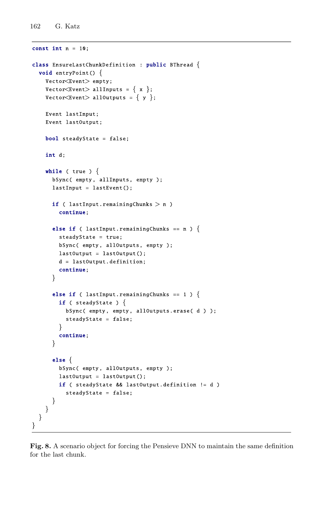```
const int n = 10;
class EnsureLastChunkDefinition : public BThread {
  void entryPoint() \{Vector<Event> empty:
    Vector \textlessEvent> allInputs = { x };
    Vector<Event> allOutputs = \{ y \};
    Event lastInput;
    Event lastOutput;
    bool steadyState = false;
    int d;
    while ( true ) \{bSync( empty, allInputs, empty );
      lastInput = lastEvent();
      if ( lastInput.remainingChunks > n )
        continue;
      else if ( lastInput.remainingChunks == n ) \{steadyState = true;
        bSync(empty, allOutputs, empty);
        lastOutput = lastOutput():
        d = lastOutput.definition;
        continue;
      ł
      else if ( lastInput.remainingChunks == 1 ) \{if (steadyState) \{bSync( empty, empty, allOutputs.erase( d ) );
           steadyState = false;
        \mathcal{E}continue;
      ł
      elsebSync( empty, allOutputs, empty );
        lastOutput = lastOutput();if ( steadyState && lastOutput.definition != d )
          steadyState = false;
      <sup>}</sup>
   \}\mathcal{E}\mathcal{E}
```
**Fig. 8.** A scenario object for forcing the Pensieve DNN to maintain the same definition for the last chunk.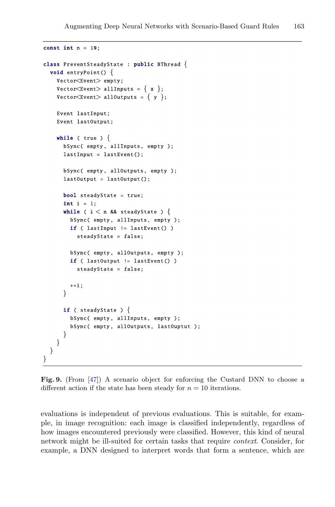```
const int n = 10;
class PreventSteadyState : public BThread {
  void entryPoint() \{Vector<Event> empty;
    Vector \leqEvent > allInputs = \{ x \};
    Vector<Event> allOutputs = \{ y \};
    Event lastInput:
    Event lastOutput:
    while ( true ) \{bSync(empty, allInputs, empty);
      lastInput = lastEvent();bSync(empty, allOutputs, empty);
      lastOutput = lastOutput();
      bool steadyState = true;int i = 1:
      while ( i < n && steadyState ) {
        bSync( empty, allInputs, empty );
        if ( lastInput != lastEvent() )
          steadyState = false;
        bSync( empty, allOutputs, empty );
        if (lastOutput != lastEvent() )steadyState = false;
        ++1;\mathcal{E}if (steadyState) \{bSync( empty, allInputs, empty );
        bSync( empty, allOutputs, lastOuptut );
      \mathbf{r}\}\mathcal{E}\mathcal{F}
```
**Fig. 9.** (From [47]) A scenario object for enforcing the Custard DNN to choose a different action if the state has been steady for  $n = 10$  iterations.

evaluations is independent of previous evaluations. This is suitable, for example, in image recognition: each image is classified independently, regardless of how images encountered previously were classified. However, this kind of neural network might be ill-suited for certain tasks that require *context*. Consider, for example, a DNN designed to interpret words that form a sentence, which are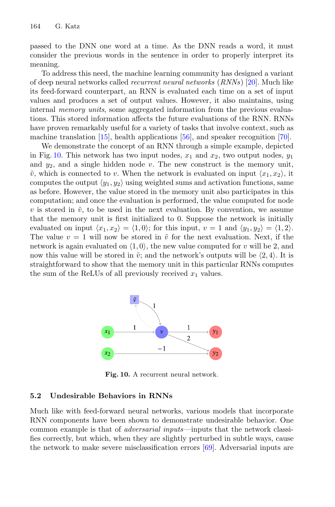passed to the DNN one word at a time. As the DNN reads a word, it must consider the previous words in the sentence in order to properly interpret its meaning.

To address this need, the machine learning community has designed a variant of deep neural networks called *recurrent neural networks* (*RNNs*) [20]. Much like its feed-forward counterpart, an RNN is evaluated each time on a set of input values and produces a set of output values. However, it also maintains, using internal *memory units*, some aggregated information from the previous evaluations. This stored information affects the future evaluations of the RNN. RNNs have proven remarkably useful for a variety of tasks that involve context, such as machine translation [15], health applications [56], and speaker recognition [70].

We demonstrate the concept of an RNN through a simple example, depicted in Fig. 10. This network has two input nodes,  $x_1$  and  $x_2$ , two output nodes,  $y_1$ and  $y_2$ , and a single hidden node v. The new construct is the memory unit,  $\tilde{v}$ , which is connected to v. When the network is evaluated on input  $\langle x_1, x_2 \rangle$ , it computes the output  $\langle y_1, y_2 \rangle$  using weighted sums and activation functions, same as before. However, the value stored in the memory unit also participates in this computation; and once the evaluation is performed, the value computed for node v is stored in  $\tilde{v}$ , to be used in the next evaluation. By convention, we assume that the memory unit is first initialized to 0. Suppose the network is initially evaluated on input  $\langle x_1, x_2 \rangle = \langle 1, 0 \rangle$ ; for this input,  $v = 1$  and  $\langle y_1, y_2 \rangle = \langle 1, 2 \rangle$ . The value  $v = 1$  will now be stored in  $\tilde{v}$  for the next evaluation. Next, if the network is again evaluated on  $\langle 1, 0 \rangle$ , the new value computed for v will be 2, and now this value will be stored in  $\tilde{v}$ ; and the network's outputs will be  $\langle 2, 4 \rangle$ . It is straightforward to show that the memory unit in this particular RNNs computes the sum of the ReLUs of all previously received  $x_1$  values.



**Fig. 10.** A recurrent neural network.

#### **5.2 Undesirable Behaviors in RNNs**

Much like with feed-forward neural networks, various models that incorporate RNN components have been shown to demonstrate undesirable behavior. One common example is that of *adversarial inputs*—inputs that the network classifies correctly, but which, when they are slightly perturbed in subtle ways, cause the network to make severe misclassification errors [69]. Adversarial inputs are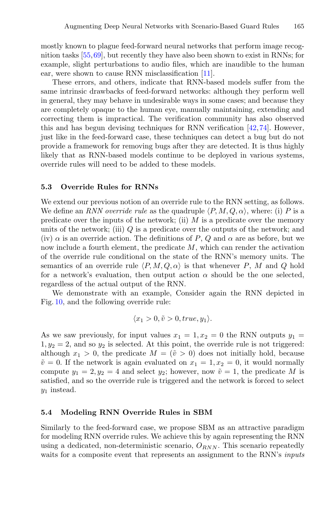mostly known to plague feed-forward neural networks that perform image recognition tasks [55,69], but recently they have also been shown to exist in RNNs; for example, slight perturbations to audio files, which are inaudible to the human ear, were shown to cause RNN misclassification [11].

These errors, and others, indicate that RNN-based models suffer from the same intrinsic drawbacks of feed-forward networks: although they perform well in general, they may behave in undesirable ways in some cases; and because they are completely opaque to the human eye, manually maintaining, extending and correcting them is impractical. The verification community has also observed this and has begun devising techniques for RNN verification  $[42,74]$ . However, just like in the feed-forward case, these techniques can detect a bug but do not provide a framework for removing bugs after they are detected. It is thus highly likely that as RNN-based models continue to be deployed in various systems, override rules will need to be added to these models.

#### **5.3 Override Rules for RNNs**

We extend our previous notion of an override rule to the RNN setting, as follows. We define an *RNN override rule* as the quadruple  $\langle P, M, Q, \alpha \rangle$ , where: (i) P is a predicate over the inputs of the network; (ii)  $M$  is a predicate over the memory units of the network; (iii)  $Q$  is a predicate over the outputs of the network; and (iv)  $\alpha$  is an override action. The definitions of P, Q and  $\alpha$  are as before, but we now include a fourth element, the predicate  $M$ , which can render the activation of the override rule conditional on the state of the RNN's memory units. The semantics of an override rule  $\langle P, M, Q, \alpha \rangle$  is that whenever P, M and Q hold for a network's evaluation, then output action  $\alpha$  should be the one selected, regardless of the actual output of the RNN.

We demonstrate with an example, Consider again the RNN depicted in Fig. 10, and the following override rule:

$$
\langle x_1>0, \tilde{v}>0, true, y_1\rangle.
$$

As we saw previously, for input values  $x_1 = 1, x_2 = 0$  the RNN outputs  $y_1 =$  $1, y_2 = 2$ , and so  $y_2$  is selected. At this point, the override rule is not triggered: although  $x_1 > 0$ , the predicate  $M = (\tilde{v} > 0)$  does not initially hold, because  $\tilde{v} = 0$ . If the network is again evaluated on  $x_1 = 1, x_2 = 0$ , it would normally compute  $y_1 = 2, y_2 = 4$  and select  $y_2$ ; however, now  $\tilde{v} = 1$ , the predicate M is satisfied, and so the override rule is triggered and the network is forced to select  $y_1$  instead.

#### **5.4 Modeling RNN Override Rules in SBM**

Similarly to the feed-forward case, we propose SBM as an attractive paradigm for modeling RNN override rules. We achieve this by again representing the RNN using a dedicated, non-deterministic scenario, O*RNN* . This scenario repeatedly waits for a composite event that represents an assignment to the RNN's *inputs*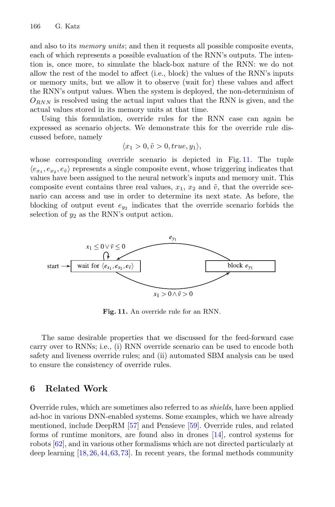and also to its *memory units*; and then it requests all possible composite events, each of which represents a possible evaluation of the RNN's outputs. The intention is, once more, to simulate the black-box nature of the RNN: we do not allow the rest of the model to affect (i.e., block) the values of the RNN's inputs or memory units, but we allow it to observe (wait for) these values and affect the RNN's output values. When the system is deployed, the non-determinism of  $O_{RNN}$  is resolved using the actual input values that the RNN is given, and the actual values stored in its memory units at that time.

Using this formulation, override rules for the RNN case can again be expressed as scenario objects. We demonstrate this for the override rule discussed before, namely

$$
\langle x_1>0, \tilde{v}>0, true, y_1\rangle,
$$

whose corresponding override scenario is depicted in Fig. 11. The tuple  $\langle e_{x_1}, e_{x_2}, e_{\tilde{v}} \rangle$  represents a single composite event, whose triggering indicates that values have been assigned to the neural network's inputs and memory unit. This composite event contains three real values,  $x_1, x_2$  and  $\tilde{v}$ , that the override scenario can access and use in order to determine its next state. As before, the blocking of output event  $e_{y_2}$  indicates that the override scenario forbids the selection of  $y_2$  as the RNN's output action.



**Fig. 11.** An override rule for an RNN.

The same desirable properties that we discussed for the feed-forward case carry over to RNNs; i.e., (i) RNN override scenario can be used to encode both safety and liveness override rules; and (ii) automated SBM analysis can be used to ensure the consistency of override rules.

# **6 Related Work**

Override rules, which are sometimes also referred to as *shields*, have been applied ad-hoc in various DNN-enabled systems. Some examples, which we have already mentioned, include DeepRM [57] and Pensieve [59]. Override rules, and related forms of runtime monitors, are found also in drones [14], control systems for robots [62], and in various other formalisms which are not directed particularly at deep learning  $[18, 26, 44, 63, 73]$ . In recent years, the formal methods community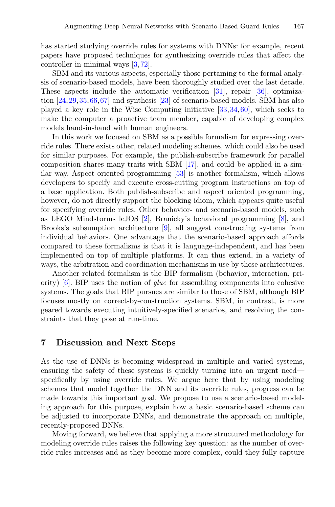has started studying override rules for systems with DNNs: for example, recent papers have proposed techniques for synthesizing override rules that affect the controller in minimal ways [3,72].

SBM and its various aspects, especially those pertaining to the formal analysis of scenario-based models, have been thoroughly studied over the last decade. These aspects include the automatic verification [31], repair [36], optimization [24,29,35,66,67] and synthesis [23] of scenario-based models. SBM has also played a key role in the Wise Computing initiative [33,34,60], which seeks to make the computer a proactive team member, capable of developing complex models hand-in-hand with human engineers.

In this work we focused on SBM as a possible formalism for expressing override rules. There exists other, related modeling schemes, which could also be used for similar purposes. For example, the publish-subscribe framework for parallel composition shares many traits with SBM [17], and could be applied in a similar way. Aspect oriented programming [53] is another formalism, which allows developers to specify and execute cross-cutting program instructions on top of a base application. Both publish-subscribe and aspect oriented programming, however, do not directly support the blocking idiom, which appears quite useful for specifying override rules. Other behavior- and scenario-based models, such as LEGO Mindstorms leJOS [2], Branicky's behavioral programming [8], and Brooks's subsumption architecture [9], all suggest constructing systems from individual behaviors. One advantage that the scenario-based approach affords compared to these formalisms is that it is language-independent, and has been implemented on top of multiple platforms. It can thus extend, in a variety of ways, the arbitration and coordination mechanisms in use by these architectures.

Another related formalism is the BIP formalism (behavior, interaction, priority) [6]. BIP uses the notion of *glue* for assembling components into cohesive systems. The goals that BIP pursues are similar to those of SBM, although BIP focuses mostly on correct-by-construction systems. SBM, in contrast, is more geared towards executing intuitively-specified scenarios, and resolving the constraints that they pose at run-time.

# **7 Discussion and Next Steps**

As the use of DNNs is becoming widespread in multiple and varied systems, ensuring the safety of these systems is quickly turning into an urgent need specifically by using override rules. We argue here that by using modeling schemes that model together the DNN and its override rules, progress can be made towards this important goal. We propose to use a scenario-based modeling approach for this purpose, explain how a basic scenario-based scheme can be adjusted to incorporate DNNs, and demonstrate the approach on multiple, recently-proposed DNNs.

Moving forward, we believe that applying a more structured methodology for modeling override rules raises the following key question: as the number of override rules increases and as they become more complex, could they fully capture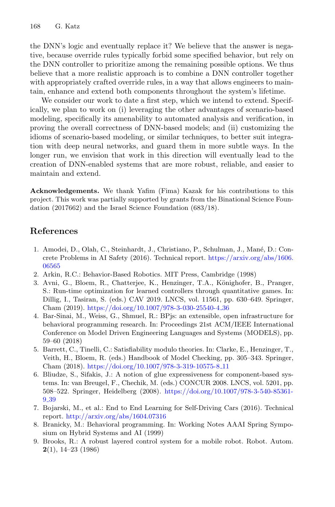the DNN's logic and eventually replace it? We believe that the answer is negative, because override rules typically forbid some specified behavior, but rely on the DNN controller to prioritize among the remaining possible options. We thus believe that a more realistic approach is to combine a DNN controller together with appropriately crafted override rules, in a way that allows engineers to maintain, enhance and extend both components throughout the system's lifetime.

We consider our work to date a first step, which we intend to extend. Specifically, we plan to work on (i) leveraging the other advantages of scenario-based modeling, specifically its amenability to automated analysis and verification, in proving the overall correctness of DNN-based models; and (ii) customizing the idioms of scenario-based modeling, or similar techniques, to better suit integration with deep neural networks, and guard them in more subtle ways. In the longer run, we envision that work in this direction will eventually lead to the creation of DNN-enabled systems that are more robust, reliable, and easier to maintain and extend.

**Acknowledgements.** We thank Yafim (Fima) Kazak for his contributions to this project. This work was partially supported by grants from the Binational Science Foundation (2017662) and the Israel Science Foundation (683/18).

# **References**

- 1. Amodei, D., Olah, C., Steinhardt, J., Christiano, P., Schulman, J., Mané, D.: Concrete Problems in AI Safety (2016). Technical report. [https://arxiv.org/abs/1606.](https://arxiv.org/abs/1606.06565) [06565](https://arxiv.org/abs/1606.06565)
- 2. Arkin, R.C.: Behavior-Based Robotics. MIT Press, Cambridge (1998)
- 3. Avni, G., Bloem, R., Chatterjee, K., Henzinger, T.A., Könighofer, B., Pranger, S.: Run-time optimization for learned controllers through quantitative games. In: Dillig, I., Tasiran, S. (eds.) CAV 2019. LNCS, vol. 11561, pp. 630–649. Springer, Cham (2019). [https://doi.org/10.1007/978-3-030-25540-4](https://doi.org/10.1007/978-3-030-25540-4_36) 36
- 4. Bar-Sinai, M., Weiss, G., Shmuel, R.: BPjs: an extensible, open infrastructure for behavioral programming research. In: Proceedings 21st ACM/IEEE International Conference on Model Driven Engineering Languages and Systems (MODELS), pp. 59–60 (2018)
- 5. Barrett, C., Tinelli, C.: Satisfiability modulo theories. In: Clarke, E., Henzinger, T., Veith, H., Bloem, R. (eds.) Handbook of Model Checking, pp. 305–343. Springer, Cham (2018). [https://doi.org/10.1007/978-3-319-10575-8](https://doi.org/10.1007/978-3-319-10575-8_11) 11
- 6. Bliudze, S., Sifakis, J.: A notion of glue expressiveness for component-based systems. In: van Breugel, F., Chechik, M. (eds.) CONCUR 2008. LNCS, vol. 5201, pp. 508–522. Springer, Heidelberg (2008). [https://doi.org/10.1007/978-3-540-85361-](https://doi.org/10.1007/978-3-540-85361-9_39) 9 [39](https://doi.org/10.1007/978-3-540-85361-9_39)
- 7. Bojarski, M., et al.: End to End Learning for Self-Driving Cars (2016). Technical report. <http://arxiv.org/abs/1604.07316>
- 8. Branicky, M.: Behavioral programming. In: Working Notes AAAI Spring Symposium on Hybrid Systems and AI (1999)
- 9. Brooks, R.: A robust layered control system for a mobile robot. Robot. Autom. **2**(1), 14–23 (1986)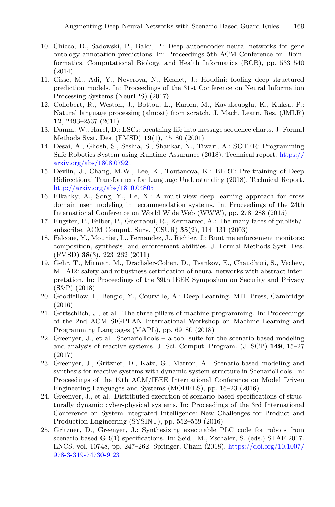- 10. Chicco, D., Sadowski, P., Baldi, P.: Deep autoencoder neural networks for gene ontology annotation predictions. In: Proceedings 5th ACM Conference on Bioinformatics, Computational Biology, and Health Informatics (BCB), pp. 533–540 (2014)
- 11. Cisse, M., Adi, Y., Neverova, N., Keshet, J.: Houdini: fooling deep structured prediction models. In: Proceedings of the 31st Conference on Neural Information Processing Systems (NeurIPS) (2017)
- 12. Collobert, R., Weston, J., Bottou, L., Karlen, M., Kavukcuoglu, K., Kuksa, P.: Natural language processing (almost) from scratch. J. Mach. Learn. Res. (JMLR) **12**, 2493–2537 (2011)
- 13. Damm, W., Harel, D.: LSCs: breathing life into message sequence charts. J. Formal Methods Syst. Des. (FMSD) **19**(1), 45–80 (2001)
- 14. Desai, A., Ghosh, S., Seshia, S., Shankar, N., Tiwari, A.: SOTER: Programming Safe Robotics System using Runtime Assurance (2018). Technical report. [https://](https://arxiv.org/abs/1808.07921) [arxiv.org/abs/1808.07921](https://arxiv.org/abs/1808.07921)
- 15. Devlin, J., Chang, M.W., Lee, K., Toutanova, K.: BERT: Pre-training of Deep Bidirectional Transformers for Language Understanding (2018). Technical Report. <http://arxiv.org/abs/1810.04805>
- 16. Elkahky, A., Song, Y., He, X.: A multi-view deep learning approach for cross domain user modeling in recommendation systems. In: Proceedings of the 24th International Conference on World Wide Web (WWW), pp. 278–288 (2015)
- 17. Eugster, P., Felber, P., Guerraoui, R., Kermarrec, A.: The many faces of publish/ subscribe. ACM Comput. Surv. (CSUR) **35**(2), 114–131 (2003)
- 18. Falcone, Y., Mounier, L., Fernandez, J., Richier, J.: Runtime enforcement monitors: composition, synthesis, and enforcement abilities. J. Formal Methods Syst. Des. (FMSD) **38**(3), 223–262 (2011)
- 19. Gehr, T., Mirman, M., Drachsler-Cohen, D., Tsankov, E., Chaudhuri, S., Vechev, M.: AI2: safety and robustness certification of neural networks with abstract interpretation. In: Proceedings of the 39th IEEE Symposium on Security and Privacy (S&P) (2018)
- 20. Goodfellow, I., Bengio, Y., Courville, A.: Deep Learning. MIT Press, Cambridge (2016)
- 21. Gottschlich, J., et al.: The three pillars of machine programming. In: Proceedings of the 2nd ACM SIGPLAN International Workshop on Machine Learning and Programming Languages (MAPL), pp. 69–80 (2018)
- 22. Greenyer, J., et al.: ScenarioTools a tool suite for the scenario-based modeling and analysis of reactive systems. J. Sci. Comput. Program. (J. SCP) **149**, 15–27 (2017)
- 23. Greenyer, J., Gritzner, D., Katz, G., Marron, A.: Scenario-based modeling and synthesis for reactive systems with dynamic system structure in ScenarioTools. In: Proceedings of the 19th ACM/IEEE International Conference on Model Driven Engineering Languages and Systems (MODELS), pp. 16–23 (2016)
- 24. Greenyer, J., et al.: Distributed execution of scenario-based specifications of structurally dynamic cyber-physical systems. In: Proceedings of the 3rd International Conference on System-Integrated Intelligence: New Challenges for Product and Production Engineering (SYSINT), pp. 552–559 (2016)
- 25. Gritzner, D., Greenyer, J.: Synthesizing executable PLC code for robots from scenario-based GR(1) specifications. In: Seidl, M., Zschaler, S. (eds.) STAF 2017. LNCS, vol. 10748, pp. 247–262. Springer, Cham (2018). [https://doi.org/10.1007/](https://doi.org/10.1007/978-3-319-74730-9_23) [978-3-319-74730-9](https://doi.org/10.1007/978-3-319-74730-9_23) 23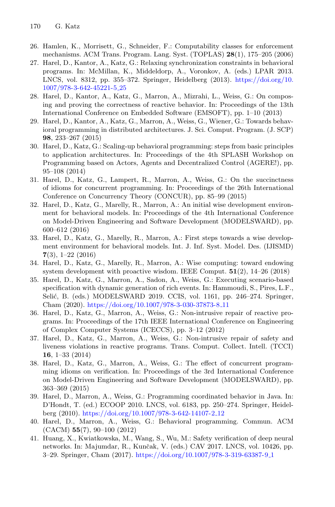- 26. Hamlen, K., Morrisett, G., Schneider, F.: Computability classes for enforcement mechanisms. ACM Trans. Program. Lang. Syst. (TOPLAS) **28**(1), 175–205 (2006)
- 27. Harel, D., Kantor, A., Katz, G.: Relaxing synchronization constraints in behavioral programs. In: McMillan, K., Middeldorp, A., Voronkov, A. (eds.) LPAR 2013. LNCS, vol. 8312, pp. 355–372. Springer, Heidelberg (2013). [https://doi.org/10.](https://doi.org/10.1007/978-3-642-45221-5_25) [1007/978-3-642-45221-5](https://doi.org/10.1007/978-3-642-45221-5_25) 25
- 28. Harel, D., Kantor, A., Katz, G., Marron, A., Mizrahi, L., Weiss, G.: On composing and proving the correctness of reactive behavior. In: Proceedings of the 13th International Conference on Embedded Software (EMSOFT), pp. 1–10 (2013)
- 29. Harel, D., Kantor, A., Katz, G., Marron, A., Weiss, G., Wiener, G.: Towards behavioral programming in distributed architectures. J. Sci. Comput. Program. (J. SCP) **98**, 233–267 (2015)
- 30. Harel, D., Katz, G.: Scaling-up behavioral programming: steps from basic principles to application architectures. In: Proceedings of the 4th SPLASH Workshop on Programming based on Actors, Agents and Decentralized Control (AGERE!), pp. 95–108 (2014)
- 31. Harel, D., Katz, G., Lampert, R., Marron, A., Weiss, G.: On the succinctness of idioms for concurrent programming. In: Proceedings of the 26th International Conference on Concurrency Theory (CONCUR), pp. 85–99 (2015)
- 32. Harel, D., Katz, G., Marelly, R., Marron, A.: An initial wise development environment for behavioral models. In: Proceedings of the 4th International Conference on Model-Driven Engineering and Software Development (MODELSWARD), pp. 600–612 (2016)
- 33. Harel, D., Katz, G., Marelly, R., Marron, A.: First steps towards a wise development environment for behavioral models. Int. J. Inf. Syst. Model. Des. (IJISMD) **7**(3), 1–22 (2016)
- 34. Harel, D., Katz, G., Marelly, R., Marron, A.: Wise computing: toward endowing system development with proactive wisdom. IEEE Comput. **51**(2), 14–26 (2018)
- 35. Harel, D., Katz, G., Marron, A., Sadon, A., Weiss, G.: Executing scenario-based specification with dynamic generation of rich events. In: Hammoudi, S., Pires, L.F., Selić, B. (eds.) MODELSWARD 2019. CCIS, vol. 1161, pp. 246–274. Springer, Cham (2020). [https://doi.org/10.1007/978-3-030-37873-8](https://doi.org/10.1007/978-3-030-37873-8_11) 11
- 36. Harel, D., Katz, G., Marron, A., Weiss, G.: Non-intrusive repair of reactive programs. In: Proceedings of the 17th IEEE International Conference on Engineering of Complex Computer Systems (ICECCS), pp. 3–12 (2012)
- 37. Harel, D., Katz, G., Marron, A., Weiss, G.: Non-intrusive repair of safety and liveness violations in reactive programs. Trans. Comput. Collect. Intell. (TCCI) **16**, 1–33 (2014)
- 38. Harel, D., Katz, G., Marron, A., Weiss, G.: The effect of concurrent programming idioms on verification. In: Proceedings of the 3rd International Conference on Model-Driven Engineering and Software Development (MODELSWARD), pp. 363–369 (2015)
- 39. Harel, D., Marron, A., Weiss, G.: Programming coordinated behavior in Java. In: D'Hondt, T. (ed.) ECOOP 2010. LNCS, vol. 6183, pp. 250–274. Springer, Heidelberg (2010). [https://doi.org/10.1007/978-3-642-14107-2](https://doi.org/10.1007/978-3-642-14107-2_12) 12
- 40. Harel, D., Marron, A., Weiss, G.: Behavioral programming. Commun. ACM (CACM) **55**(7), 90–100 (2012)
- 41. Huang, X., Kwiatkowska, M., Wang, S., Wu, M.: Safety verification of deep neural networks. In: Majumdar, R., Kunčak, V. (eds.) CAV 2017. LNCS, vol. 10426, pp. 3–29. Springer, Cham (2017). [https://doi.org/10.1007/978-3-319-63387-9](https://doi.org/10.1007/978-3-319-63387-9_1) 1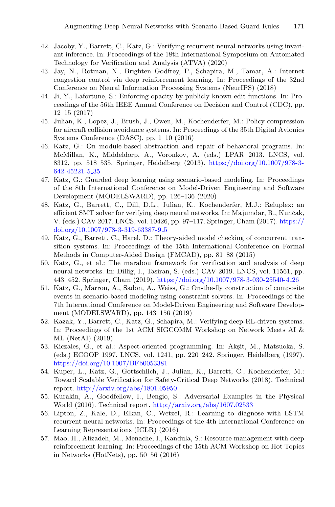- 42. Jacoby, Y., Barrett, C., Katz, G.: Verifying recurrent neural networks using invariant inference. In: Proceedings of the 18th International Symposium on Automated Technology for Verification and Analysis (ATVA) (2020)
- 43. Jay, N., Rotman, N., Brighten Godfrey, P., Schapira, M., Tamar, A.: Internet congestion control via deep reinforcement learning. In: Proceedings of the 32nd Conference on Neural Information Processing Systems (NeurIPS) (2018)
- 44. Ji, Y., Lafortune, S.: Enforcing opacity by publicly known edit functions. In: Proceedings of the 56th IEEE Annual Conference on Decision and Control (CDC), pp. 12–15 (2017)
- 45. Julian, K., Lopez, J., Brush, J., Owen, M., Kochenderfer, M.: Policy compression for aircraft collision avoidance systems. In: Proceedings of the 35th Digital Avionics Systems Conference (DASC), pp. 1–10 (2016)
- 46. Katz, G.: On module-based abstraction and repair of behavioral programs. In: McMillan, K., Middeldorp, A., Voronkov, A. (eds.) LPAR 2013. LNCS, vol. 8312, pp. 518–535. Springer, Heidelberg (2013). [https://doi.org/10.1007/978-3-](https://doi.org/10.1007/978-3-642-45221-5_35) [642-45221-5](https://doi.org/10.1007/978-3-642-45221-5_35) 35
- 47. Katz, G.: Guarded deep learning using scenario-based modeling. In: Proceedings of the 8th International Conference on Model-Driven Engineering and Software Development (MODELSWARD), pp. 126–136 (2020)
- 48. Katz, G., Barrett, C., Dill, D.L., Julian, K., Kochenderfer, M.J.: Reluplex: an efficient SMT solver for verifying deep neural networks. In: Majumdar, R., Kunčak, V. (eds.) CAV 2017. LNCS, vol. 10426, pp. 97–117. Springer, Cham (2017). [https://](https://doi.org/10.1007/978-3-319-63387-9_5) [doi.org/10.1007/978-3-319-63387-9](https://doi.org/10.1007/978-3-319-63387-9_5) 5
- 49. Katz, G., Barrett, C., Harel, D.: Theory-aided model checking of concurrent transition systems. In: Proceedings of the 15th International Conference on Formal Methods in Computer-Aided Design (FMCAD), pp. 81–88 (2015)
- 50. Katz, G., et al.: The marabou framework for verification and analysis of deep neural networks. In: Dillig, I., Tasiran, S. (eds.) CAV 2019. LNCS, vol. 11561, pp. 443–452. Springer, Cham (2019). [https://doi.org/10.1007/978-3-030-25540-4](https://doi.org/10.1007/978-3-030-25540-4_26) 26
- 51. Katz, G., Marron, A., Sadon, A., Weiss, G.: On-the-fly construction of composite events in scenario-based modeling using constraint solvers. In: Proceedings of the 7th International Conference on Model-Driven Engineering and Software Development (MODELSWARD), pp. 143–156 (2019)
- 52. Kazak, Y., Barrett, C., Katz, G., Schapira, M.: Verifying deep-RL-driven systems. In: Proceedings of the 1st ACM SIGCOMM Workshop on Network Meets AI & ML (NetAI) (2019)
- 53. Kiczales, G., et al.: Aspect-oriented programming. In: Akşit, M., Matsuoka, S. (eds.) ECOOP 1997. LNCS, vol. 1241, pp. 220–242. Springer, Heidelberg (1997). <https://doi.org/10.1007/BFb0053381>
- 54. Kuper, L., Katz, G., Gottschlich, J., Julian, K., Barrett, C., Kochenderfer, M.: Toward Scalable Verification for Safety-Critical Deep Networks (2018). Technical report. <http://arxiv.org/abs/1801.05950>
- 55. Kurakin, A., Goodfellow, I., Bengio, S.: Adversarial Examples in the Physical World (2016). Technical report. <http://arxiv.org/abs/1607.02533>
- 56. Lipton, Z., Kale, D., Elkan, C., Wetzel, R.: Learning to diagnose with LSTM recurrent neural networks. In: Proceedings of the 4th International Conference on Learning Representations (ICLR) (2016)
- 57. Mao, H., Alizadeh, M., Menache, I., Kandula, S.: Resource management with deep reinforcement learning. In: Proceedings of the 15th ACM Workshop on Hot Topics in Networks (HotNets), pp. 50–56 (2016)